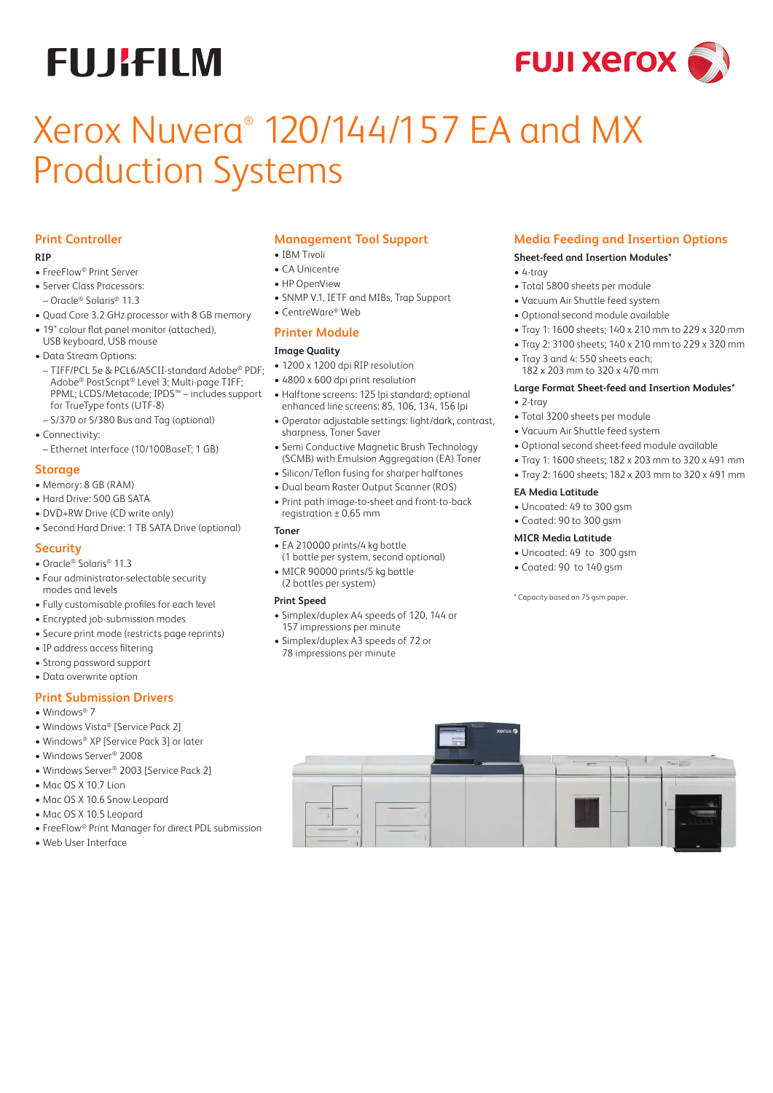# **FUJIFILM**



# Xerox Nuvera® 120/144/157 EA and MX Production Systems

# **Print Controller**

#### **RIP**

- FreeFlow® Print Server
- Server Class Processors:
- Oracle® Solaris® 11.3
- Quad Core 3.2 GHz processor with 8 GB memory
- 19" colour flat panel monitor (attached),
- USB keyboard, USB mouse • Data Stream Options:
- TIFF/PCL 5e & PCL6/ASCII-standard Adobe® PDF; Adobe® PostScript® Level 3; Multi-page TIFF; PPML; LCDS/Metacode; IPDS™ – includes support for TrueType fonts (UTF-8)
- S/370 or S/380 Bus and Tag (optional)
- Connectivity:
- Ethernet interface (10/100BaseT; 1 GB)

# **Storage**

- Memory: 8 GB (RAM)
- Hard Drive: 500 GB SATA
- DVD+RW Drive (CD write only)
- Second Hard Drive: 1 TB SATA Drive (optional)

# **Security**

- Oracle® Solaris® 11.3
- Four administrator-selectable security modes and levels
- Fully customisable profiles for each level
- Encrypted job-submission modes
- Secure print mode (restricts page reprints)
- IP address access filtering
- Strong password support
- Data overwrite option

# **Print Submission Drivers**

- Windows<sup>®</sup> 7
- Windows Vista® [Service Pack 2]
- Windows® XP [Service Pack 3] or later
- Windows Server® 2008
- Windows Server® 2003 [Service Pack 2]
- $\bullet$  Mac OS X 10.7 Lion
- Mac OS X 10.6 Snow Leopard
- Mac OS X 10.5 Leopard
- FreeFlow® Print Manager for direct PDL submission
- Web User Interface

# **Management Tool Support**

- IBM Tivoli
- CA Unicentre
- HP OpenView
- SNMP V.1, IETF and MIBs, Trap Support
- CentreWare® Web

# **Printer Module**

## **Image Quality**

- 1200 x 1200 dpi RIP resolution
- 4800 x 600 dpi print resolution
- Halftone screens: 125 lpi standard; optional enhanced line screens: 85, 106, 134, 156 lpi
- Operator adjustable settings: light/dark, contrast, sharpness, Toner Saver
- Semi Conductive Magnetic Brush Technology (SCMB) with Emulsion Aggregation (EA) Toner
- Silicon/Teflon fusing for sharper halftones
- Dual beam Raster Output Scanner (ROS)
- Print path image-to-sheet and front-to-back registration ± 0.65 mm

# **Toner**

- EA 210000 prints/4 kg bottle
- (1 bottle per system, second optional) • MICR 90000 prints/5 kg bottle
- (2 bottles per system)

# **Print Speed**

- Simplex/duplex A4 speeds of 120, 144 or 157 impressions per minute
- Simplex/duplex A3 speeds of 72 or 78 impressions per minute

# **Media Feeding and Insertion Options**

#### **Sheet-feed and Insertion Modules\***

- 4-tray
- Total 5800 sheets per module
- Vacuum Air Shuttle feed system
- Optional second module available
- Tray 1: 1600 sheets; 140 x 210 mm to 229 x 320 mm
- Tray 2: 3100 sheets; 140 x 210 mm to 229 x 320 mm
- Tray 3 and 4: 550 sheets each; 182 x 203 mm to 320 x 470 mm

#### **Large Format Sheet-feed and Insertion Modules\***

- 2-tray
- Total 3200 sheets per module
- Vacuum Air Shuttle feed system
- Optional second sheet-feed module available
- Tray 1: 1600 sheets; 182 x 203 mm to 320 x 491 mm
- Tray 2: 1600 sheets; 182 x 203 mm to 320 x 491 mm

#### **EA Media Latitude**

- Uncoated: 49 to 300 gsm
- Coated: 90 to 300 gsm

#### **MICR Media Latitude**

- Uncoated: 49 to 300 gsm
- Coated: 90 to 140 gsm

\* Capacity based on 75 gsm paper.